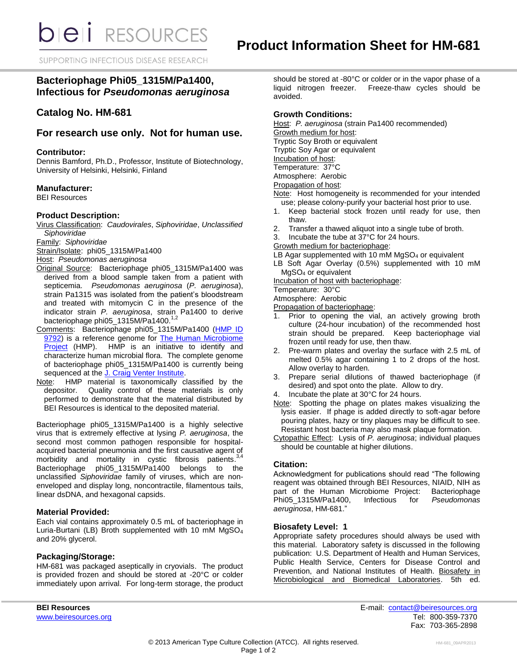SUPPORTING INFECTIOUS DISEASE RESEARCH

# **Bacteriophage Phi05\_1315M/Pa1400, Infectious for** *Pseudomonas aeruginosa*

## **Catalog No. HM-681**

## **For research use only. Not for human use.**

#### **Contributor:**

Dennis Bamford, Ph.D., Professor, Institute of Biotechnology, University of Helsinki, Helsinki, Finland

## **Manufacturer:**

BEI Resources

## **Product Description:**

Virus Classification: *Caudovirales*, *Siphoviridae*, *Unclassified Siphoviridae*

Family: *Siphoviridae*

Strain/Isolate: phi05\_1315M/Pa1400

Host: *Pseudomonas aeruginosa*

- Original Source: Bacteriophage phi05\_1315M/Pa1400 was derived from a blood sample taken from a patient with septicemia. *Pseudomonas aeruginosa* (*P. aeruginosa*), strain Pa1315 was isolated from the patient's bloodstream and treated with mitomycin C in the presence of the indicator strain *P. aeruginosa*, strain Pa1400 to derive bacteriophage phi05\_1315M/Pa1400.1,2
- Comments: Bacteriophage phi05\_1315M/Pa1400 (HMP ID [9792\)](http://www.hmpdacc-resources.org/cgi-bin/hmp_catalog/main.cgi?section=HmpSummary&page=displayHmpProject&hmp_id=9792) is a reference genome for [The Human Microbiome](http://nihroadmap.nih.gov/hmp/)  [Project](http://nihroadmap.nih.gov/hmp/) (HMP). HMP is an initiative to identify and characterize human microbial flora. The complete genome of bacteriophage phi05\_1315M/Pa1400 is currently being sequenced at the [J. Craig Venter Institute.](http://hmp.jcvi.org/)
- Note: HMP material is taxonomically classified by the depositor. Quality control of these materials is only performed to demonstrate that the material distributed by BEI Resources is identical to the deposited material.

Bacteriophage phi05 1315M/Pa1400 is a highly selective virus that is extremely effective at lysing *P. aeruginosa*, the second most common pathogen responsible for hospitalacquired bacterial pneumonia and the first causative agent of<br>morbidity and mortality in cystic fibrosis patients.<sup>3,4</sup> morbidity and mortality in cystic fibrosis patients.<sup>3</sup> Bacteriophage phi05\_1315M/Pa1400 belongs to the unclassified *Siphoviridae* family of viruses, which are nonenveloped and display long, noncontractile, filamentous tails, linear dsDNA, and hexagonal capsids.

#### **Material Provided:**

Each vial contains approximately 0.5 mL of bacteriophage in Luria-Burtani (LB) Broth supplemented with 10 mM MgSO<sup>4</sup> and 20% glycerol.

## **Packaging/Storage:**

HM-681 was packaged aseptically in cryovials. The product is provided frozen and should be stored at -20°C or colder immediately upon arrival. For long-term storage, the product should be stored at -80°C or colder or in the vapor phase of a liquid nitrogen freezer. Freeze-thaw cycles should be avoided.

## **Growth Conditions:**

Host: *P. aeruginosa* (strain Pa1400 recommended)

Growth medium for host:

Tryptic Soy Broth or equivalent

Tryptic Soy Agar or equivalent

Incubation of host: Temperature: 37°C

Atmosphere: Aerobic

Propagation of host:

- Note: Host homogeneity is recommended for your intended use; please colony-purify your bacterial host prior to use.
- 1. Keep bacterial stock frozen until ready for use, then thaw.
- 2. Transfer a thawed aliquot into a single tube of broth.
- 3. Incubate the tube at 37°C for 24 hours.
- Growth medium for bacteriophage:
- LB Agar supplemented with 10 mM MgSO<sub>4</sub> or equivalent
- LB Soft Agar Overlay (0.5%) supplemented with 10 mM MgSO<sup>4</sup> or equivalent

Incubation of host with bacteriophage:

Temperature: 30°C

Atmosphere: Aerobic

Propagation of bacteriophage:

- 1. Prior to opening the vial, an actively growing broth culture (24-hour incubation) of the recommended host strain should be prepared. Keep bacteriophage vial frozen until ready for use, then thaw.
- 2. Pre-warm plates and overlay the surface with 2.5 mL of melted 0.5% agar containing 1 to 2 drops of the host. Allow overlay to harden.
- 3. Prepare serial dilutions of thawed bacteriophage (if desired) and spot onto the plate. Allow to dry.
- 4. Incubate the plate at 30°C for 24 hours.
- Note: Spotting the phage on plates makes visualizing the lysis easier. If phage is added directly to soft-agar before pouring plates, hazy or tiny plaques may be difficult to see. Resistant host bacteria may also mask plaque formation.
- Cytopathic Effect: Lysis of *P. aeruginosa*; individual plaques should be countable at higher dilutions.

## **Citation:**

Acknowledgment for publications should read "The following reagent was obtained through BEI Resources, NIAID, NIH as part of the Human Microbiome Project: Bacteriophage<br>Phi05 1315M/Pa1400, Infectious for Pseudomonas Phi05\_1315M/Pa1400, *aeruginosa*, HM-681."

#### **Biosafety Level: 1**

Appropriate safety procedures should always be used with this material. Laboratory safety is discussed in the following publication: U.S. Department of Health and Human Services, Public Health Service, Centers for Disease Control and Prevention, and National Institutes of Health. Biosafety in Microbiological and Biomedical Laboratories. 5th ed.

**BEI Resources** E-mail: [contact@beiresources.org](mailto:contact@beiresources.org) [www.beiresources.org](http://www.beiresources.org/) **Tel: 800-359-7370** Fax: 703-365-2898